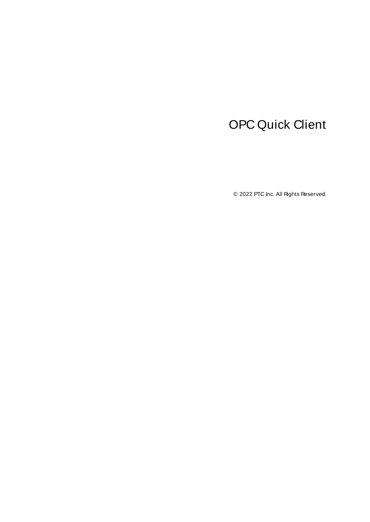# <span id="page-0-0"></span>OPC Quick Client

© 2022 PTC Inc. All Rights Reserved.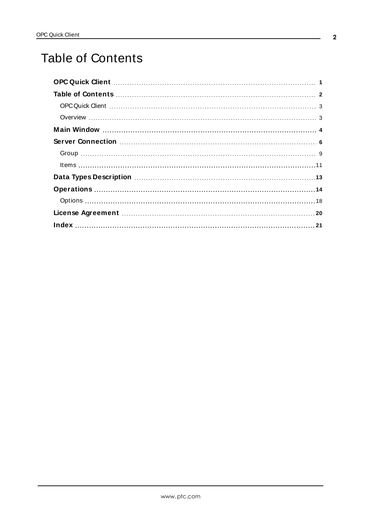# <span id="page-1-0"></span>Table of Contents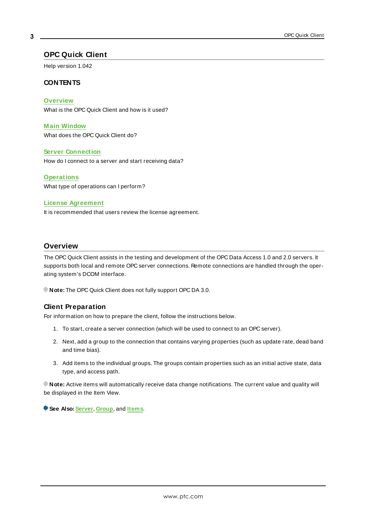# <span id="page-2-0"></span>**OPC Quick Client**

Help version 1.042

### **CONTENTS**

**[Overview](#page-2-1)** What is the OPC Quick Client and how is it used?

**M ain [Window](#page-3-0)** What does the OPC Quick Client do?

#### **Server [Connection](#page-5-0)**

How do I connect to a server and start receiving data?

#### **[Operations](#page-13-0)**

What type of operations can I perform?

#### **License [Agreement](#page-19-0)**

It is recommended that users review the license agreement.

## <span id="page-2-1"></span>**Overview**

The OPC Quick Client assists in the testing and development of the OPC Data Access 1.0 and 2.0 servers. It supports both local and remote OPC server connections. Remote connections are handled through the operating system's DCOM interface.

**Note:** The OPC Quick Client does not fully support OPC DA 3.0.

### **Client Preparation**

For information on how to prepare the client, follow the instructions below.

- 1. To start, create a server connection (which will be used to connect to an OPC server).
- 2. Next, add a group to the connection that contains varying properties (such as update rate, dead band and time bias).
- 3. Add items to the individual groups. The groups contain properties such as an initial active state, data type, and access path.

**Note:** Active items will automatically receive data change notifications. The current value and quality will be displayed in the Item View.

**See Also: [Server](#page-5-0)**, **[Group](#page-8-0)**, and **[Items](#page-10-0)**.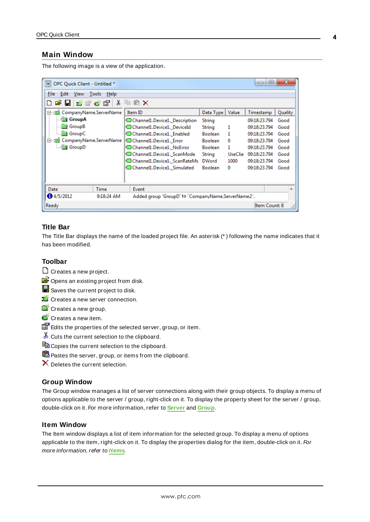### <span id="page-3-0"></span>**Main Window**

The following image is a view of the application.

| OPC Quick Client - Untitled *<br>@ <sub>C</sub> |                                                    |                |                | E<br>$\Box$   | x       |
|-------------------------------------------------|----------------------------------------------------|----------------|----------------|---------------|---------|
| File<br>View<br>Help<br>Edit<br>Tools           |                                                    |                |                |               |         |
| ℅<br>首盛春园<br>e u                                | 嘞<br>$E \times$                                    |                |                |               |         |
| □ a CompanyName.ServerName                      | Item ID                                            | Data Type      | Value          | Timestamp     | Quality |
| GroupA                                          | Channel1.Device1. Description                      | String         |                | 09:18:23.794  | Good    |
| <b>GroupB</b>                                   | Channel1.Device1. DeviceId                         | String         | 1              | 09:18:23.794  | Good    |
| <b>Group</b> C                                  | Channel1.Device1. Enabled                          | <b>Boolean</b> | 1              | 09:18:23.794  | Good    |
| CompanyName.ServerName<br>白 - 露                 | Channel1.Device1. Error                            | <b>Boolean</b> | 0              | 09:18:23.794  | Good    |
| —‱ Group D                                      | Channel1.Device1. NoError                          | <b>Boolean</b> | 1              | 09:18:23.794  | Good    |
|                                                 | Channel1.Device1. ScanMode                         | String         | <b>UseClie</b> | 09:18:23.794  | Good    |
|                                                 | Channel1.Device1. ScanRateMs                       | <b>DWord</b>   | 1000           | 09:18:23.794  | Good    |
|                                                 | Channel1.Device1._Simulated                        | <b>Boolean</b> | 0              | 09:18:23.794  | Good    |
|                                                 |                                                    |                |                |               |         |
| Date<br>Time                                    | Event                                              |                |                |               |         |
| 4/5/2012<br>9:18:24 AM                          | Added group 'GroupD' to 'CompanyName.ServerName2'. |                |                |               |         |
| Ready                                           |                                                    |                |                | Item Count: 8 |         |

# **Title Bar**

The Title Bar displays the name of the loaded project file. An asterisk (\* ) following the name indicates that it has been modified.

# **Toolbar**

- C Creates a new project.
- $\mathbb{E}$  Opens an existing project from disk.
- Saves the current project to disk.
- Creates a new server connection.
- Creates a new group.
- Creates a new item.
- Edits the properties of the selected server, group, or item.
- Cuts the current selection to the clipboard.
- $\Box$  Copies the current selection to the clipboard.
- Pastes the server, group, or items from the clipboard.
- $\times$  Deletes the current selection.

#### **Group Window**

The Group window manages a list of server connections along with their group objects. To display a menu of options applicable to the server / group, right-click on it. To display the property sheet for the server / group, double-click on it. For more information, refer to **[Server](#page-5-0)** and **[Group](#page-8-0)**.

### **Item Window**

The Item window displays a list of item information for the selected group. To display a menu of options applicable to the item, right-click on it. To display the properties dialog for the item, double-click on it. For more information, refer to **[Items](#page-10-0)**.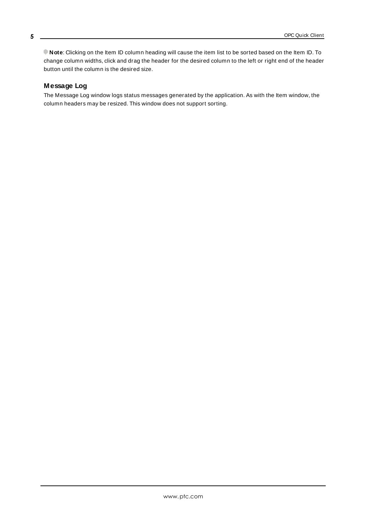**Note**: Clicking on the Item ID column heading will cause the item list to be sorted based on the Item ID. To change column widths, click and drag the header for the desired column to the left or right end of the header button until the column is the desired size.

# **Message Log**

The Message Log window logs status messages generated by the application. As with the Item window, the column headers may be resized. This window does not support sorting.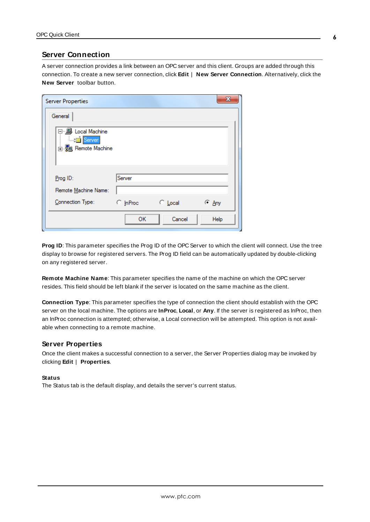### <span id="page-5-0"></span>**Server Connection**

A server connection provides a link between an OPC server and this client. Groups are added through this connection. To create a new server connection, click **Edit** | **New Server Connection**. Alternatively, click the **New Server** toolbar button.

| <b>Server Properties</b>                               |                 |               | x     |
|--------------------------------------------------------|-----------------|---------------|-------|
| General                                                |                 |               |       |
| 日 黒 Local Machine<br><b>Server</b><br>由 Remote Machine |                 |               |       |
| $Proof$ ID:                                            | Server          |               |       |
| Remote Machine Name:<br>Connection Type:               | <b>C</b> InProc | $\circ$ Local | ⊙ Any |
|                                                        | OK              | Cancel        | Help  |

<span id="page-5-1"></span>**Prog ID**: This parameter specifies the Prog ID of the OPC Server to which the client will connect. Use the tree display to browse for registered servers. The Prog ID field can be automatically updated by double-clicking on any registered server.

<span id="page-5-2"></span>**Remote Machine Name**: This parameter specifies the name of the machine on which the OPC server resides. This field should be left blank if the server is located on the same machine as the client.

**Connection Type**: This parameter specifies the type of connection the client should establish with the OPC server on the local machine. The options are **InProc**, **Local**, or **Any**. If the server is registered as InProc, then an InProc connection is attempted; otherwise, a Local connection will be attempted. This option is not available when connecting to a remote machine.

#### **Server Properties**

Once the client makes a successful connection to a server, the Server Properties dialog may be invoked by clicking **Edit** | **Properties**.

#### **Status**

The Status tab is the default display, and details the server's current status.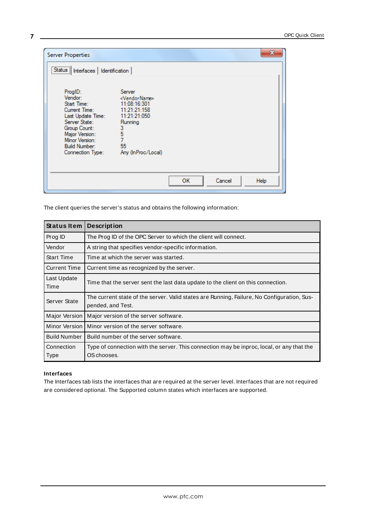| <b>Server Properties</b>                                                                                                                                                                                                                                                                                                                                                                                         | ж                    |
|------------------------------------------------------------------------------------------------------------------------------------------------------------------------------------------------------------------------------------------------------------------------------------------------------------------------------------------------------------------------------------------------------------------|----------------------|
| [Status] Interfaces   Identification<br>ProgID:<br>Server<br>Vendor:<br><vendorname><br/>Start Time:<br/>11:08:16:301<br/>11:21:21:158<br/>Current Time:<br/>11:21:21:050<br/>Last Update Time:<br/>Server State:<br/>Running<br/>Group Count:<br/>3<br/><math>\frac{5}{7}</math><br/>Major Version:<br/>Minor Version:<br/>55<br/><b>Build Number:</b><br/>Any (InProc/Local)<br/>Connection Type:</vendorname> |                      |
|                                                                                                                                                                                                                                                                                                                                                                                                                  | OK<br>Cancel<br>Help |

The client queries the server's status and obtains the following information:

| <b>Status Item</b>  | <b>Description</b>                                                                                              |
|---------------------|-----------------------------------------------------------------------------------------------------------------|
| Prog ID             | The Prog ID of the OPC Server to which the client will connect.                                                 |
| Vendor              | A string that specifies vendor-specific information.                                                            |
| <b>Start Time</b>   | Time at which the server was started.                                                                           |
| <b>Current Time</b> | Current time as recognized by the server.                                                                       |
| Last Update<br>Time | Time that the server sent the last data update to the client on this connection.                                |
| Server State        | The current state of the server. Valid states are Running, Failure, No Configuration, Sus-<br>pended, and Test. |
| Major Version       | Major version of the server software.                                                                           |
| Minor Version       | Minor version of the server software.                                                                           |
| <b>Build Number</b> | Build number of the server software.                                                                            |
| Connection<br>Type  | Type of connection with the server. This connection may be inproc, local, or any that the<br>OS chooses.        |

#### **Interfaces**

The Interfaces tab lists the interfaces that are required at the server level. Interfaces that are not required are considered optional. The Supported column states which interfaces are supported.

**7**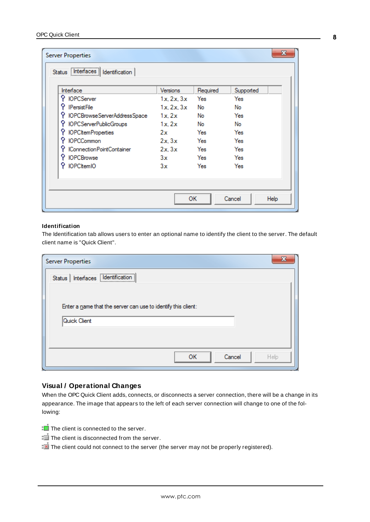| <b>Server Properties</b><br>Status   Interfaces   Identification<br>Interface | Versions   | Required | Supported | x    |
|-------------------------------------------------------------------------------|------------|----------|-----------|------|
| <b>IOPCServer</b>                                                             | 1x. 2x. 3x | Yes      | Yes       |      |
| <b>IPersistFile</b>                                                           | 1x. 2x. 3x | No       | No        |      |
| IOPCBrowseServerAddressSpace                                                  | 1x.2x      | No       | Yes       |      |
| <b>IOPCServerPublicGroups</b>                                                 | 1x, 2x     | No       | No        |      |
| <b>IOPCItemProperties</b>                                                     | 2x         | Yes      | Yes       |      |
| <b>IOPCCommon</b>                                                             | 2x.3x      | Yes      | Yes       |      |
| IConnectionPointContainer                                                     | 2x.3x      | Yes      | Yes       |      |
| <b>IOPCBrowse</b>                                                             | 3x         | Yes      | Yes       |      |
| <b>IOPCItemIO</b>                                                             | 3x         | Yes      | Yes       |      |
|                                                                               |            | OK       | Cancel    | Help |

#### **Identification**

The Identification tab allows users to enter an optional name to identify the client to the server. The default client name is "Quick Client".

| <b>Server Properties</b>                                                      | X    |
|-------------------------------------------------------------------------------|------|
| Status   Interfaces   Identification                                          |      |
| Enter a name that the server can use to identify this client:<br>Quick Client |      |
| OK<br>Cancel                                                                  | Help |
|                                                                               |      |

### **Visual / Operational Changes**

When the OPC Quick Client adds, connects, or disconnects a server connection, there will be a change in its appearance. The image that appears to the left of each server connection will change to one of the following:

- The client is connected to the server.
- The client is disconnected from the server.
- The client could not connect to the server (the server may not be properly registered).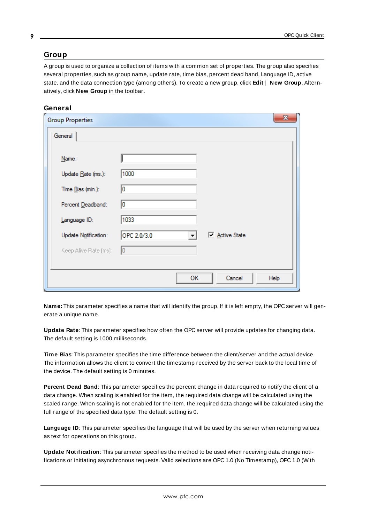### <span id="page-8-1"></span><span id="page-8-0"></span>**Group**

A group is used to organize a collection of items with a common set of properties. The group also specifies several properties, such as group name, update rate, time bias, percent dead band, Language ID, active state, and the data connection type (among others). To create a new group, click **Edit** | **New Group**. Alternatively, click **New Group** in the toolbar.



| <b>Group Properties</b> |             |    |              | $\mathbf{x}$ |
|-------------------------|-------------|----|--------------|--------------|
| General                 |             |    |              |              |
|                         |             |    |              |              |
| Name:                   |             |    |              |              |
| Update Rate (ms.):      | 1000        |    |              |              |
| Time Bias (min.):       | 10          |    |              |              |
| Percent Deadband:       | 10          |    |              |              |
| Language ID:            | 1033        |    |              |              |
| Update Notification:    | OPC 2.0/3.0 |    | Active State |              |
| Keep Alive Rate (ms):   | 10          |    |              |              |
|                         |             |    |              |              |
|                         |             | OК | Cancel       | Help         |

**Name:** This parameter specifies a name that will identify the group. If it is left empty, the OPC server will generate a unique name.

<span id="page-8-3"></span>**Update Rate**: This parameter specifies how often the OPC server will provide updates for changing data. The default setting is 1000 milliseconds.

**Time Bias**: This parameter specifies the time difference between the client/server and the actual device. The information allows the client to convert the timestamp received by the server back to the local time of the device. The default setting is 0 minutes.

**Percent Dead Band**: This parameter specifies the percent change in data required to notify the client of a data change. When scaling is enabled for the item, the required data change will be calculated using the scaled range. When scaling is not enabled for the item, the required data change will be calculated using the full range of the specified data type. The default setting is 0.

**Language ID**: This parameter specifies the language that will be used by the server when returning values as text for operations on this group.

<span id="page-8-2"></span>**Update Notification**: This parameter specifies the method to be used when receiving data change notifications or initiating asynchronous requests. Valid selections are OPC 1.0 (No Timestamp), OPC 1.0 (With

**9**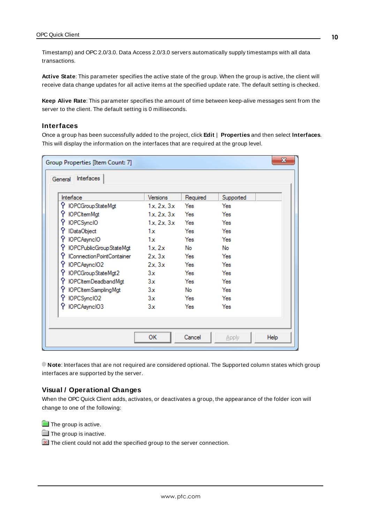Timestamp) and OPC 2.0/3.0. Data Access 2.0/3.0 servers automatically supply timestamps with all data transactions.

**Active State**: This parameter specifies the active state of the group. When the group is active, the client will receive data change updates for all active items at the specified update rate. The default setting is checked.

**Keep Alive Rate**: This parameter specifies the amount of time between keep-alive messages sent from the server to the client. The default setting is 0 milliseconds.

#### **Interfaces**

Once a group has been successfully added to the project, click **Edit** | **Properties** and then select **Interfaces**. This will display the information on the interfaces that are required at the group level.

|            |                         | $\mathbf{x}$  |  |
|------------|-------------------------|---------------|--|
|            |                         |               |  |
| Versions   | Required                | Supported     |  |
| 1x, 2x, 3x | Yes                     | Yes           |  |
| 1x, 2x, 3x | Yes                     | Yes           |  |
|            | Yes                     | Yes           |  |
| 1x         | Yes                     | Yes           |  |
| 1x         | Yes                     | Yes           |  |
| 1x.2x      | No                      | No            |  |
| 2x.3x      | Yes                     | Yes           |  |
| 2x.3x      | Yes                     | Yes           |  |
| 3x         | Yes                     | Yes           |  |
| 3x         | Yes                     | Yes           |  |
| 3x         | No                      | Yes           |  |
| 3x         | Yes                     | Yes           |  |
| 3x         | Yes                     | Yes           |  |
|            |                         |               |  |
|            |                         |               |  |
| ОΚ         | Cancel                  | Help<br>Apply |  |
|            | IOPCPublicGroupStateMgt | 1x, 2x, 3x    |  |

**Note**: Interfaces that are not required are considered optional. The Supported column states which group interfaces are supported by the server.

#### **Visual / Operational Changes**

When the OPC Quick Client adds, activates, or deactivates a group, the appearance of the folder icon will change to one of the following:

**The group is active.** 

 $\blacksquare$  The group is inactive.

 $\boxed{\times}$  The client could not add the specified group to the server connection.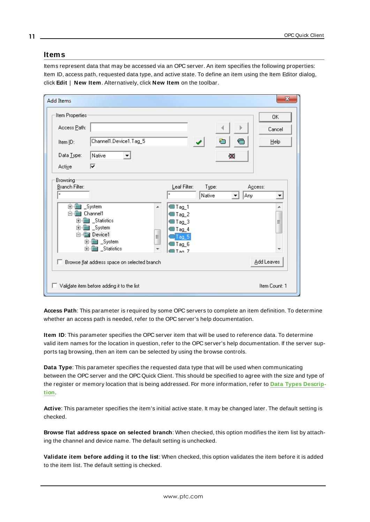### <span id="page-10-1"></span><span id="page-10-0"></span>**Items**

Items represent data that may be accessed via an OPC server. An item specifies the following properties: Item ID, access path, requested data type, and active state. To define an item using the Item Editor dialog, click **Edit** | **New Item**. Alternatively, click **New Item** on the toolbar.

| <b>Add Items</b>                                                                                                                                                                      |                                                                                                        |                 |                   | $\mathbf{x}$       |
|---------------------------------------------------------------------------------------------------------------------------------------------------------------------------------------|--------------------------------------------------------------------------------------------------------|-----------------|-------------------|--------------------|
| Item Properties                                                                                                                                                                       |                                                                                                        |                 |                   | 0K                 |
| Access Path:                                                                                                                                                                          |                                                                                                        |                 |                   | Cancel             |
| Channel1.Device1.Tag_5<br>Item ID:                                                                                                                                                    |                                                                                                        |                 |                   | $He$ lp            |
| Data Type:<br>Native<br>$\overline{\phantom{a}}$                                                                                                                                      |                                                                                                        |                 | $\mathbf{\times}$ |                    |
| ⊽<br>Active                                                                                                                                                                           |                                                                                                        |                 |                   |                    |
| Browsing<br>Branch Filter:<br>×<br><b>D-A</b><br>_System<br>Channel1<br>Statistics<br>$\boxed{+}$<br><b>a</b> System<br>F<br><b>图 Device1</b><br>Ėŀ<br>由 图 _System<br>由 图 _Statistics | Leaf Filter:<br>×<br>∰Tag_1<br>▲<br>Tag_2<br><b></b> ¶Tag_3<br>Tag_4<br>۹<br>Taq 5<br>Tag_6<br>®lTao 7 | Type:<br>Native | Any<br>▼          | Agcess:<br>▼<br>E, |
| п<br>Browse flat address space on selected branch                                                                                                                                     |                                                                                                        |                 |                   | Add Leaves         |
| Validate item before adding it to the list                                                                                                                                            |                                                                                                        |                 |                   | Item Count: 1      |

**Access Path**: This parameter is required by some OPC servers to complete an item definition. To determine whether an access path is needed, refer to the OPC server's help documentation.

**Item ID**: This parameter specifies the OPC server item that will be used to reference data. To determine valid item names for the location in question, refer to the OPC server's help documentation. If the server supports tag browsing, then an item can be selected by using the browse controls.

**Data Type**: This parameter specifies the requested data type that will be used when communicating between the OPC server and the OPC Quick Client. This should be specified to agree with the size and type of the register or memory location that is being addressed. For more information, refer to **Data Types [Descrip](#page-12-0)[tion](#page-12-0)**.

**Active**: This parameter specifies the item's initial active state. It may be changed later. The default setting is checked.

**Browse flat address space on selected branch**: When checked, this option modifies the item list by attaching the channel and device name. The default setting is unchecked.

**Validate item before adding it to the list**: When checked, this option validates the item before it is added to the item list. The default setting is checked.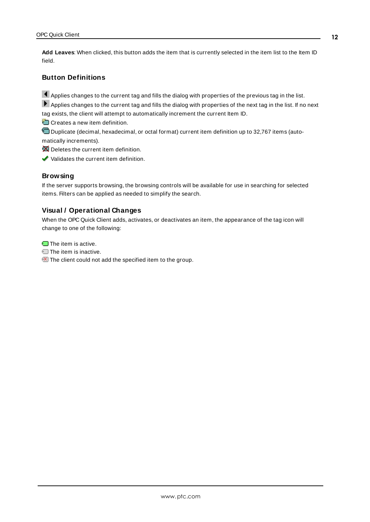**Add Leaves**: When clicked, this button adds the item that is currently selected in the item list to the Item ID field.

# **Button Definitions**

Applies changes to the current tag and fills the dialog with properties of the previous tag in the list.

Applies changes to the current tag and fills the dialog with properties of the next tag in the list. If no next tag exists, the client will attempt to automatically increment the current Item ID.

Creates a new item definition.

Duplicate (decimal, hexadecimal, or octal format) current item definition up to 32,767 items (automatically increments).

Deletes the current item definition.

Validates the current item definition.

### **Browsing**

If the server supports browsing, the browsing controls will be available for use in searching for selected items. Filters can be applied as needed to simplify the search.

### **Visual / Operational Changes**

When the OPC Quick Client adds, activates, or deactivates an item, the appearance of the tag icon will change to one of the following:

The item is active.

- **The item is inactive.**
- The client could not add the specified item to the group.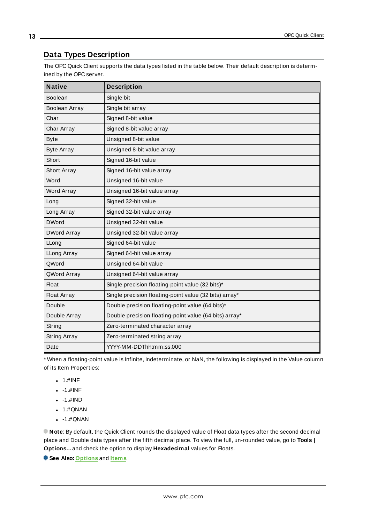# <span id="page-12-0"></span>**Data Types Description**

The OPC Quick Client supports the data types listed in the table below. Their default description is determined by the OPC server.

| <b>Native</b>        | <b>Description</b>                                     |
|----------------------|--------------------------------------------------------|
| Boolean              | Single bit                                             |
| <b>Boolean Array</b> | Single bit array                                       |
| Char                 | Signed 8-bit value                                     |
| Char Array           | Signed 8-bit value array                               |
| <b>Byte</b>          | Unsigned 8-bit value                                   |
| <b>Byte Array</b>    | Unsigned 8-bit value array                             |
| Short                | Signed 16-bit value                                    |
| Short Array          | Signed 16-bit value array                              |
| Word                 | Unsigned 16-bit value                                  |
| Word Array           | Unsigned 16-bit value array                            |
| Long                 | Signed 32-bit value                                    |
| Long Array           | Signed 32-bit value array                              |
| <b>DWord</b>         | Unsigned 32-bit value                                  |
| <b>DWord Array</b>   | Unsigned 32-bit value array                            |
| LLong                | Signed 64-bit value                                    |
| LLong Array          | Signed 64-bit value array                              |
| QWord                | Unsigned 64-bit value                                  |
| QWord Array          | Unsigned 64-bit value array                            |
| <b>Float</b>         | Single precision floating-point value (32 bits)*       |
| <b>Float Array</b>   | Single precision floating-point value (32 bits) array* |
| Double               | Double precision floating-point value (64 bits)*       |
| Double Array         | Double precision floating-point value (64 bits) array* |
| String               | Zero-terminated character array                        |
| String Array         | Zero-terminated string array                           |
| Date                 | YYYY-MM-DDThh:mm:ss.000                                |

\* When a floating-point value is Infinite, Indeterminate, or NaN, the following is displayed in the Value column of its Item Properties:

- $-1.$ #INF
- $-1.$ #INF
- $-1.$ #IND
- $-1.$ #QNAN
- $-1.$ #QNAN

**Note:** By default, the Quick Client rounds the displayed value of Float data types after the second decimal place and Double data types after the fifth decimal place. To view the full, un-rounded value, go to **Tools | Options…**and check the option to display **Hexadecimal** values for Floats.

**See Also: [Options](#page-17-0)** and **[Items](#page-10-0)**.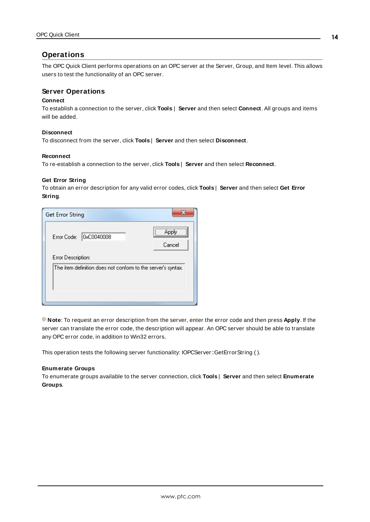# <span id="page-13-0"></span>**Operations**

The OPC Quick Client performs operations on an OPC server at the Server, Group, and Item level. This allows users to test the functionality of an OPC server.

### **Server Operations**

#### **Connect**

To establish a connection to the server, click **Tools** | **Server** and then select **Connect**. All groups and items will be added.

### **Disconnect**

To disconnect from the server, click **Tools** | **Server** and then select **Disconnect**.

#### **Reconnect**

<span id="page-13-2"></span>To re-establish a connection to the server, click **Tools** | **Server** and then select **Reconnect**.

#### **Get Error String**

To obtain an error description for any valid error codes, click **Tools** | **Server** and then select **Get Error String**.

| <b>Get Error String</b>                                      |                 |
|--------------------------------------------------------------|-----------------|
| OxC0040008<br>Error Code:                                    | Apply<br>Cancel |
| Error Description:                                           |                 |
| The item definition does not conform to the server's syntax. |                 |

**Note**: To request an error description from the server, enter the error code and then press **Apply**. If the server can translate the error code, the description will appear. An OPC server should be able to translate any OPC error code, in addition to Win32 errors.

<span id="page-13-1"></span>This operation tests the following server functionality: IOPCServer::GetErrorString ( ).

#### **Enumerate Groups**

To enumerate groups available to the server connection, click **Tools** | **Server** and then select **Enumerate Groups**.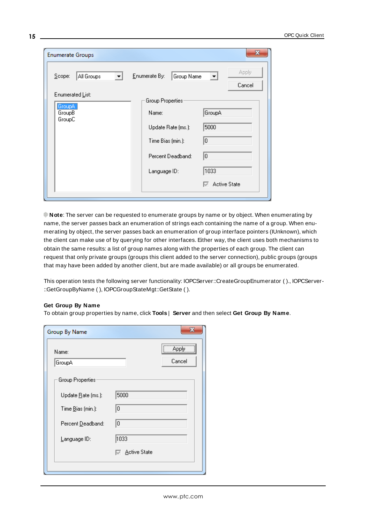| <b>Enumerate Groups</b>                        |                                                                                                            | x                                                         |
|------------------------------------------------|------------------------------------------------------------------------------------------------------------|-----------------------------------------------------------|
| Scope:<br>All Groups                           | Enumerate By:<br>Group Name                                                                                | Apply<br>▼<br>Cancel                                      |
| Enumerated List:<br>GroupA<br>GroupB<br>GroupC | Group Properties:<br>Name:<br>Update Rate (ms.):<br>Time Bias (min.):<br>Percent Deadband:<br>Language ID: | GroupA<br>5000<br>I٥<br>10<br>1033<br><b>Active State</b> |

**Note**: The server can be requested to enumerate groups by name or by object. When enumerating by name, the server passes back an enumeration of strings each containing the name of a group. When enumerating by object, the server passes back an enumeration of group interface pointers (IUnknown), which the client can make use of by querying for other interfaces. Either way, the client uses both mechanisms to obtain the same results: a list of group names along with the properties of each group. The client can request that only private groups (groups this client added to the server connection), public groups (groups that may have been added by another client, but are made available) or all groups be enumerated.

This operation tests the following server functionality: IOPCServer::CreateGroupEnumerator ( )., IOPCServer- ::GetGroupByName ( ), IOPCGroupStateMgt::GetState ( ).

#### <span id="page-14-0"></span>**Get Group By Name**

To obtain group properties by name, click **Tools** | **Server** and then select **Get Group By Name**.

| <b>Group By Name</b>    |                       |
|-------------------------|-----------------------|
| Name:<br>GroupA         | Apply<br>Cancel       |
| <b>Group Properties</b> |                       |
| Update Rate (ms.):      | 5000                  |
| Time Bias (min.):       | lo.                   |
| Percent Deadband:       | 10                    |
| Language ID:            | 1033                  |
|                         | <b>I</b> Active State |
|                         |                       |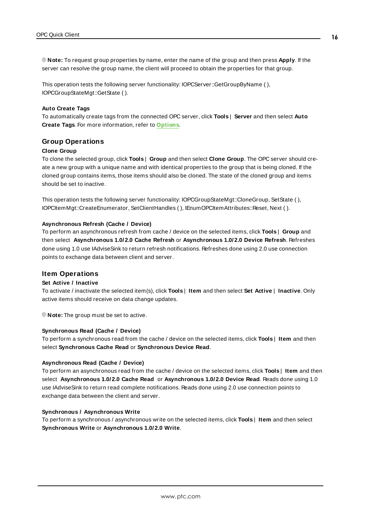**Note:** To request group properties by name, enter the name of the group and then press **Apply**. If the server can resolve the group name, the client will proceed to obtain the properties for that group.

This operation tests the following server functionality: IOPCServer::GetGroupByName ( ), IOPCGroupStateMgt::GetState ( ).

#### **Auto Create Tags**

To automatically create tags from the connected OPC server, click **Tools** | **Server** and then select **Auto Create Tags**. For more information, refer to **[Options](#page-17-0)**.

#### **Group Operations**

#### **Clone Group**

To clone the selected group, click **Tools** | **Group** and then select **Clone Group**. The OPC server should create a new group with a unique name and with identical properties to the group that is being cloned. If the cloned group contains items, those items should also be cloned. The state of the cloned group and items should be set to inactive.

This operation tests the following server functionality: IOPCGroupStateMgt::CloneGroup, SetState ( ), IOPCItemMgt::CreateEnumerator, SetClientHandles ( ), IEnumOPCItemAttributes::Reset, Next ( ).

#### <span id="page-15-0"></span>**Asynchronous Refresh (Cache / Device)**

To perform an asynchronous refresh from cache / device on the selected items, click **Tools** | **Group** and then select **Asynchronous 1.0/2.0 Cache Refresh** or **Asynchronous 1.0/2.0 Device Refresh**. Refreshes done using 1.0 use IAdviseSink to return refresh notifications. Refreshes done using 2.0 use connection points to exchange data between client and server.

#### **Item Operations**

#### **Set Active / Inactive**

To activate / inactivate the selected item(s), click **Tools** | **Item** and then select **Set Active** | **Inactive**. Only active items should receive on data change updates.

**Note:** The group must be set to active.

#### **Synchronous Read (Cache / Device)**

To perform a synchronous read from the cache / device on the selected items, click **Tools** | **Item** and then select **Synchronous Cache Read** or **Synchronous Device Read**.

#### **Asynchronous Read (Cache / Device)**

To perform an asynchronous read from the cache / device on the selected items, click **Tools** | **Item** and then select **Asynchronous 1.0/2.0 Cache Read** or **Asynchronous 1.0/2.0 Device Read**. Reads done using 1.0 use IAdviseSink to return read complete notifications. Reads done using 2.0 use connection points to exchange data between the client and server.

#### **Synchronous / Asynchronous Write**

To perform a synchronous / asynchronous write on the selected items, click **Tools** | **Item** and then select **Synchronous Write** or **Asynchronous 1.0/2.0 Write**.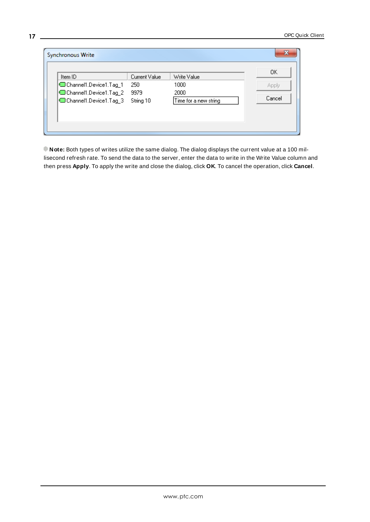| Item ID<br>Current Value<br>Channel1.Device1.Tag_1<br>250<br>Channel1.Device1.Tag_2<br>9979<br>Channel1.Device1.Tag_3<br>String 10 | Write Value<br>1000<br>2000<br>Time for a new string | OK.<br>Apply<br>Cancel |
|------------------------------------------------------------------------------------------------------------------------------------|------------------------------------------------------|------------------------|
|------------------------------------------------------------------------------------------------------------------------------------|------------------------------------------------------|------------------------|

**Note:** Both types of writes utilize the same dialog. The dialog displays the current value at a 100 millisecond refresh rate. To send the data to the server, enter the data to write in the Write Value column and then press **Apply**. To apply the write and close the dialog, click **OK**. To cancel the operation, click **Cancel**.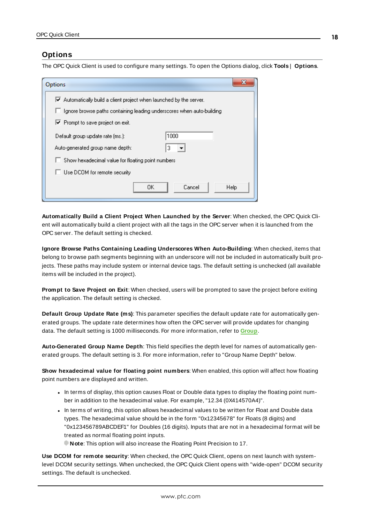## <span id="page-17-0"></span>**Options**

The OPC Quick Client is used to configure many settings. To open the Options dialog, click **Tools** | **Options**.

| x<br>Options                                                                            |  |  |
|-----------------------------------------------------------------------------------------|--|--|
| $\blacktriangleright$ Automatically build a client project when launched by the server. |  |  |
| $\Box$ Ignore browse paths containing leading underscores when auto-building            |  |  |
| $\blacktriangleright$ Prompt to save project on exit.                                   |  |  |
| 1000<br>Default group update rate (ms.):                                                |  |  |
| Auto-generated group name depth:<br>3                                                   |  |  |
| Show hexadecimal value for floating point numbers                                       |  |  |
| $\Box$ Use DCOM for remote security                                                     |  |  |
| OΚ<br>Cancel<br>Help                                                                    |  |  |

**Automatically Build a Client Project When Launched by the Server**: When checked, the OPC Quick Client will automatically build a client project with all the tags in the OPC server when it is launched from the OPC server. The default setting is checked.

**Ignore Browse Paths Containing Leading Underscores When Auto-Building**: When checked, items that belong to browse path segments beginning with an underscore will not be included in automatically built projects. These paths may include system or internal device tags. The default setting is unchecked (all available items will be included in the project).

**Prompt to Save Project on Exit**: When checked, users will be prompted to save the project before exiting the application. The default setting is checked.

**Default Group Update Rate (ms)**: This parameter specifies the default update rate for automatically generated groups. The update rate determines how often the OPC server will provide updates for changing data. The default setting is 1000 milliseconds. For more information, refer to **[Group](#page-8-0)**.

**Auto-Generated Group Name Depth**: This field specifies the depth level for names of automatically generated groups. The default setting is 3. For more information, refer to "Group Name Depth" below.

**Show hexadecimal value for floating point numbers**: When enabled, this option will affect how floating point numbers are displayed and written.

- In terms of display, this option causes Float or Double data types to display the floating point number in addition to the hexadecimal value. For example, "12.34 (0X414570A4)".
- In terms of writing, this option allows hexadecimal values to be written for Float and Double data types. The hexadecimal value should be in the form "0x12345678" for Floats (8 digits) and "0x123456789ABCDEF1" for Doubles (16 digits). Inputs that are not in a hexadecimal format will be treated as normal floating point inputs.
	- **Note:** This option will also increase the Floating Point Precision to 17.

**Use DCOM for remote security**: When checked, the OPC Quick Client, opens on next launch with systemlevel DCOM security settings. When unchecked, the OPC Quick Client opens with "wide-open" DCOM security settings. The default is unchecked.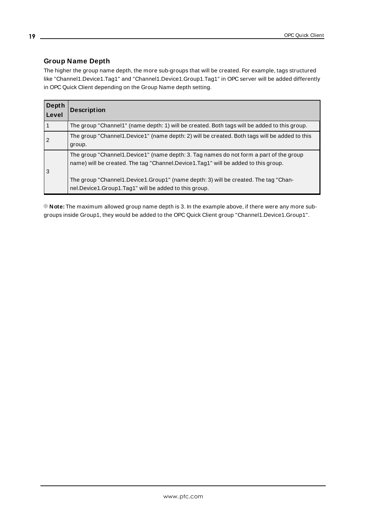# **Group Name Depth**

The higher the group name depth, the more sub-groups that will be created. For example, tags structured like "Channel1.Device1.Tag1" and "Channel1.Device1.Group1.Tag1" in OPC server will be added differently in OPC Quick Client depending on the Group Name depth setting.

| Depth<br>Level | <b>Description</b>                                                                                                                                                                                                                                                                                                           |
|----------------|------------------------------------------------------------------------------------------------------------------------------------------------------------------------------------------------------------------------------------------------------------------------------------------------------------------------------|
|                | The group "Channel1" (name depth: 1) will be created. Both tags will be added to this group.                                                                                                                                                                                                                                 |
| $\overline{2}$ | The group "Channel 1. Device 1" (name depth: 2) will be created. Both tags will be added to this<br>group.                                                                                                                                                                                                                   |
| 3              | The group "Channel1.Device1" (name depth: 3. Tag names do not form a part of the group<br>name) will be created. The tag "Channel.Device1.Tag1" will be added to this group.<br>The group "Channel1.Device1.Group1" (name depth: 3) will be created. The tag "Chan-<br>nel.Device1.Group1.Tag1" will be added to this group. |

**Note:** The maximum allowed group name depth is 3. In the example above, if there were any more subgroups inside Group1, they would be added to the OPC Quick Client group "Channel1.Device1.Group1".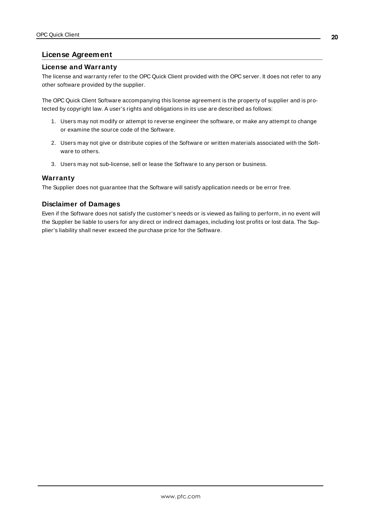## <span id="page-19-0"></span>**License Agreement**

### **License and Warranty**

The license and warranty refer to the OPC Quick Client provided with the OPC server. It does not refer to any other software provided by the supplier.

The OPC Quick Client Software accompanying this license agreement is the property of supplier and is protected by copyright law. A user's rights and obligations in its use are described as follows:

- 1. Users may not modify or attempt to reverse engineer the software, or make any attempt to change or examine the source code of the Software.
- 2. Users may not give or distribute copies of the Software or written materials associated with the Software to others.
- 3. Users may not sub-license, sell or lease the Software to any person or business.

### **Warranty**

The Supplier does not guarantee that the Software will satisfy application needs or be error free.

#### **Disclaimer of Damages**

Even if the Software does not satisfy the customer's needs or is viewed as failing to perform, in no event will the Supplier be liable to users for any direct or indirect damages, including lost profits or lost data. The Supplier's liability shall never exceed the purchase price for the Software.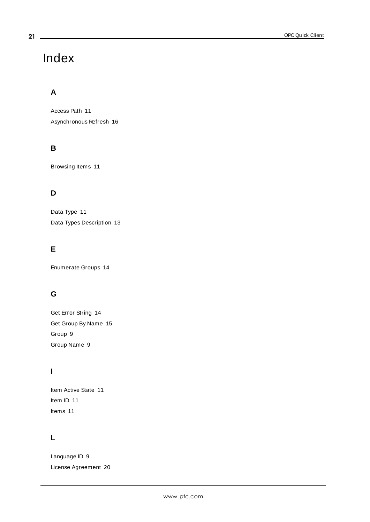# <span id="page-20-0"></span>Index

# **A**

Access Path [11](#page-10-1) Asynchronous Refresh [16](#page-15-0)

# **B**

Browsing Items [11](#page-10-0)

# **D**

Data Type [11](#page-10-1) Data Types Description [13](#page-12-0)

# **E**

Enumerate Groups [14](#page-13-1)

# **G**

Get Error String [14](#page-13-2) Get Group By Name [15](#page-14-0) Group [9](#page-8-0) Group Name [9](#page-8-1)

# **I**

Item Active State [11](#page-10-0) Item ID [11](#page-10-1) Items [11](#page-10-0)

# **L**

Language ID [9](#page-8-1) License Agreement [20](#page-19-0)